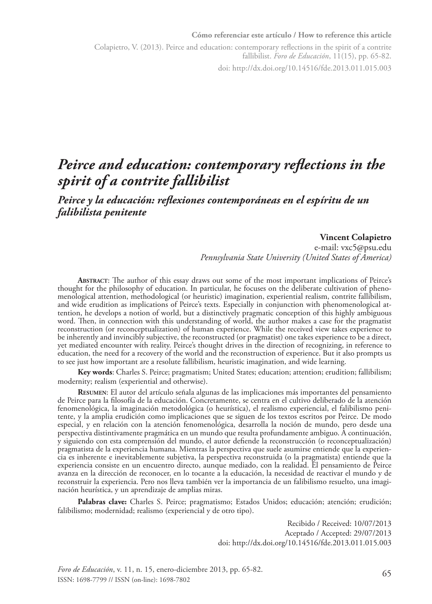#### **Cómo referenciar este artículo / How to reference this article**

Colapietro, V. (2013). Peirce and education: contemporary reflections in the spirit of a contrite fallibilist. *Foro de Educación*, 11(15), pp. 65-82. doi: http://dx.doi.org/10.14516/fde.2013.011.015.003

*Peirce and education: contemporary reflections in the spirit of a contrite fallibilist*

*Peirce y la educación: reflexiones contemporáneas en el espíritu de un falibilista penitente*

#### **Vincent Colapietro**

e-mail: [vxc5@psu.edu](mailto:vxc5@psu.edu) *Pennsylvania State University (United States of America)*

**Abstract**: The author of this essay draws out some of the most important implications of Peirce's thought for the philosophy of education. In particular, he focuses on the deliberate cultivation of phenomenological attention, methodological (or heuristic) imagination, experiential realism, contrite fallibilism, and wide erudition as implications of Peirce's texts. Especially in conjunction with phenomenological attention, he develops a notion of world, but a distinctively pragmatic conception of this highly ambiguous word. Then, in connection with this understanding of world, the author makes a case for the pragmatist reconstruction (or reconceptualization) of human experience. While the received view takes experience to be inherently and invincibly subjective, the reconstructed (or pragmatist) one takes experience to be a direct, yet mediated encounter with reality. Peirce's thought drives in the direction of recognizing, in reference to education, the need for a recovery of the world and the reconstruction of experience. But it also prompts us to see just how important are a resolute fallibilism, heuristic imagination, and wide learning.

**Key words**: Charles S. Peirce; pragmatism; United States; education; attention; erudition; fallibilism; modernity; realism (experiential and otherwise).

**Resumen**: El autor del artículo señala algunas de las implicaciones más importantes del pensamiento de Peirce para la filosofía de la educación. Concretamente, se centra en el cultivo deliberado de la atención fenomenológica, la imaginación metodológica (o heurística), el realismo experiencial, el falibilismo penitente, y la amplia erudición como implicaciones que se siguen de los textos escritos por Peirce. De modo especial, y en relación con la atención fenomenológica, desarrolla la noción de mundo, pero desde una perspectiva distintivamente pragmática en un mundo que resulta profundamente ambiguo. A continuación, y siguiendo con esta comprensión del mundo, el autor defiende la reconstrucción (o reconceptualización) pragmatista de la experiencia humana. Mientras la perspectiva que suele asumirse entiende que la experiencia es inherente e inevitablemente subjetiva, la perspectiva reconstruida (o la pragmatista) entiende que la experiencia consiste en un encuentro directo, aunque mediado, con la realidad. El pensamiento de Peirce avanza en la dirección de reconocer, en lo tocante a la educación, la necesidad de reactivar el mundo y de reconstruir la experiencia. Pero nos lleva también ver la importancia de un falibilismo resuelto, una imaginación heurística, y un aprendizaje de amplias miras.

**Palabras clave:** Charles S. Peirce; pragmatismo; Estados Unidos; educación; atención; erudición; falibilismo; modernidad; realismo (experiencial y de otro tipo).

> Recibido / Received: 10/07/2013 Aceptado / Accepted: 29/07/2013 doi: http://dx.doi.org/10.14516/fde.2013.011.015.003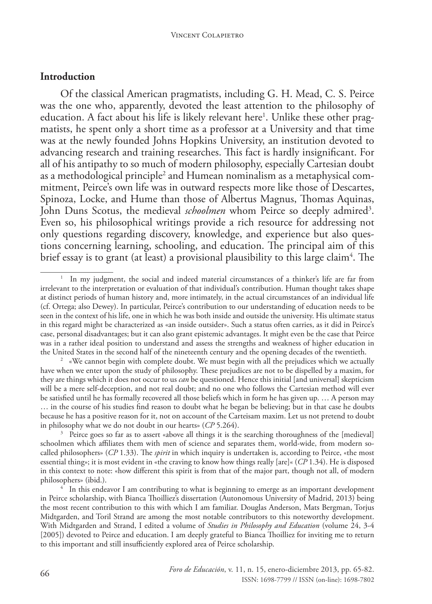#### **Introduction**

Of the classical American pragmatists, including G. H. Mead, C. S. Peirce was the one who, apparently, devoted the least attention to the philosophy of education. A fact about his life is likely relevant here<sup>1</sup>. Unlike these other pragmatists, he spent only a short time as a professor at a University and that time was at the newly founded Johns Hopkins University, an institution devoted to advancing research and training researches. This fact is hardly insignificant. For all of his antipathy to so much of modern philosophy, especially Cartesian doubt as a methodological principle<sup>2</sup> and Humean nominalism as a metaphysical commitment, Peirce's own life was in outward respects more like those of Descartes, Spinoza, Locke, and Hume than those of Albertus Magnus, Thomas Aquinas, John Duns Scotus, the medieval *schoolmen* whom Peirce so deeply admired<sup>3</sup>. Even so, his philosophical writings provide a rich resource for addressing not only questions regarding discovery, knowledge, and experience but also questions concerning learning, schooling, and education. The principal aim of this brief essay is to grant (at least) a provisional plausibility to this large claim $^4$ . The

<sup>1</sup> In my judgment, the social and indeed material circumstances of a thinker's life are far from irrelevant to the interpretation or evaluation of that individual's contribution. Human thought takes shape at distinct periods of human history and, more intimately, in the actual circumstances of an individual life (cf. Ortega; also Dewey). In particular, Peirce's contribution to our understanding of education needs to be seen in the context of his life, one in which he was both inside and outside the university. His ultimate status in this regard might be characterized as «an inside outsider». Such a status often carries, as it did in Peirce's case, personal disadvantages; but it can also grant epistemic advantages. It might even be the case that Peirce was in a rather ideal position to understand and assess the strengths and weakness of higher education in the United States in the second half of the nineteenth century and the opening decades of the twentieth.

<sup>2</sup> «We cannot begin with complete doubt. We must begin with all the prejudices which we actually have when we enter upon the study of philosophy. These prejudices are not to be dispelled by a maxim, for they are things which it does not occur to us *can* be questioned. Hence this initial [and universal] skepticism will be a mere self-deception, and not real doubt; and no one who follows the Cartesian method will ever be satisfied until he has formally recovered all those beliefs which in form he has given up. … A person may … in the course of his studies find reason to doubt what he began be believing; but in that case he doubts because he has a positive reason for it, not on account of the Carteisam maxim. Let us not pretend to doubt in philosophy what we do not doubt in our hearts» (*CP* 5.264).

<sup>&</sup>lt;sup>3</sup> Peirce goes so far as to assert «above all things it is the searching thoroughness of the [medieval] schoolmen which affiliates them with men of science and separates them, world-wide, from modern socalled philosophers» (*CP* 1.33). The *spirit* in which inquiry is undertaken is, according to Peirce, «the most essential thing»; it is most evident in «the craving to know how things really [are]« (*CP* 1.34). He is disposed in this context to note: «how different this spirit is from that of the major part, though not all, of modern philosophers» (ibid.).

 $\frac{4}{1}$  In this endeavor I am contributing to what is beginning to emerge as an important development in Peirce scholarship, with Bianca Thoilliez's dissertation (Autonomous University of Madrid, 2013) being the most recent contribution to this with which I am familiar. Douglas Anderson, Mats Bergman, Torjus Midtgarden, and Toril Strand are among the most notable contributors to this noteworthy development. With Midtgarden and Strand, I edited a volume of *Studies in Philosophy and Education* (volume 24, 3-4 [2005]) devoted to Peirce and education. I am deeply grateful to Bianca Thoilliez for inviting me to return to this important and still insufficiently explored area of Peirce scholarship.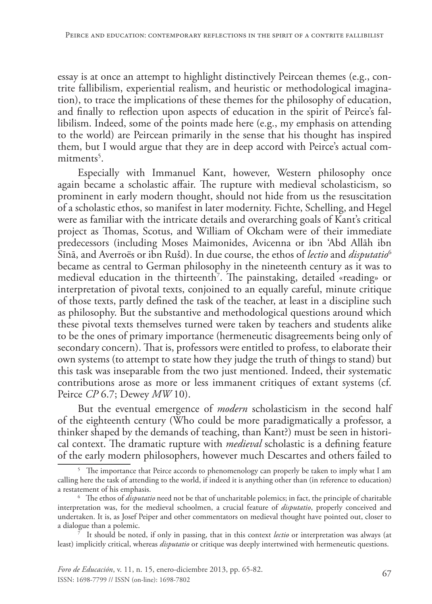essay is at once an attempt to highlight distinctively Peircean themes (e.g., contrite fallibilism, experiential realism, and heuristic or methodological imagination), to trace the implications of these themes for the philosophy of education, and finally to reflection upon aspects of education in the spirit of Peirce's fallibilism. Indeed, some of the points made here (e.g., my emphasis on attending to the world) are Peircean primarily in the sense that his thought has inspired them, but I would argue that they are in deep accord with Peirce's actual commitments<sup>5</sup>.

Especially with Immanuel Kant, however, Western philosophy once again became a scholastic affair. The rupture with medieval scholasticism, so prominent in early modern thought, should not hide from us the resuscitation of a scholastic ethos, so manifest in later modernity. Fichte, Schelling, and Hegel were as familiar with the intricate details and overarching goals of Kant's critical project as Thomas, Scotus, and William of Okcham were of their immediate predecessors (including Moses Maimonides, Avicenna or ibn 'Abd Allāh ibn Sīnā, and Averroës or ibn Rušd). In due course, the ethos of *lectio* and *disputatio*<sup>6</sup> became as central to German philosophy in the nineteenth century as it was to medieval education in the thirteenth7 . The painstaking, detailed «reading» or interpretation of pivotal texts, conjoined to an equally careful, minute critique of those texts, partly defined the task of the teacher, at least in a discipline such as philosophy. But the substantive and methodological questions around which these pivotal texts themselves turned were taken by teachers and students alike to be the ones of primary importance (hermeneutic disagreements being only of secondary concern). That is, professors were entitled to profess, to elaborate their own systems (to attempt to state how they judge the truth of things to stand) but this task was inseparable from the two just mentioned. Indeed, their systematic contributions arose as more or less immanent critiques of extant systems (cf. Peirce *CP* 6.7; Dewey *MW* 10).

But the eventual emergence of *modern* scholasticism in the second half of the eighteenth century (Who could be more paradigmatically a professor, a thinker shaped by the demands of teaching, than Kant?) must be seen in historical context. The dramatic rupture with *medieval* scholastic is a defining feature of the early modern philosophers, however much Descartes and others failed to

<sup>&</sup>lt;sup>5</sup> The importance that Peirce accords to phenomenology can properly be taken to imply what I am calling here the task of attending to the world, if indeed it is anything other than (in reference to education) a restatement of his emphasis.

<sup>6</sup> The ethos of *disputatio* need not be that of uncharitable polemics; in fact, the principle of charitable interpretation was, for the medieval schoolmen, a crucial feature of *disputatio*, properly conceived and undertaken. It is, as Josef Peiper and other commentators on medieval thought have pointed out, closer to a dialogue than a polemic.

<sup>7</sup> It should be noted, if only in passing, that in this context *lectio* or interpretation was always (at least) implicitly critical, whereas *disputatio* or critique was deeply intertwined with hermeneutic questions.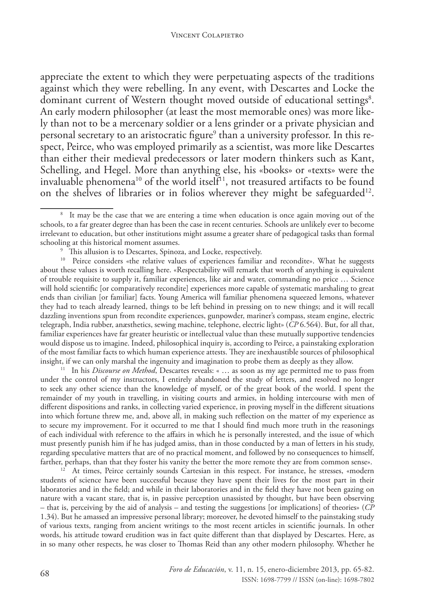appreciate the extent to which they were perpetuating aspects of the traditions against which they were rebelling. In any event, with Descartes and Locke the dominant current of Western thought moved outside of educational settings<sup>8</sup>. An early modern philosopher (at least the most memorable ones) was more likely than not to be a mercenary soldier or a lens grinder or a private physician and personal secretary to an aristocratic figure<sup>9</sup> than a university professor. In this respect, Peirce, who was employed primarily as a scientist, was more like Descartes than either their medieval predecessors or later modern thinkers such as Kant, Schelling, and Hegel. More than anything else, his «books» or «texts» were the invaluable phenomena<sup>10</sup> of the world itself<sup>11</sup>, not treasured artifacts to be found on the shelves of libraries or in folios wherever they might be safeguarded<sup>12</sup>.

<sup>10</sup> Peirce considers «the relative values of experiences familiar and recondite». What he suggests about these values is worth recalling here. «Respectability will remark that worth of anything is equivalent of trouble requisite to supply it, familiar experiences, like air and water, commanding no price … Science will hold scientific [or comparatively recondite] experiences more capable of systematic marshaling to great ends than civilian [or familiar] facts. Young America will familiar phenomena squeezed lemons, whatever they had to teach already learned, things to be left behind in pressing on to new things; and it will recall dazzling inventions spun from recondite experiences, gunpowder, mariner's compass, steam engine, electric telegraph, India rubber, anæsthetics, sewing machine, telephone, electric light» (*CP* 6.564). But, for all that, familiar experiences have far greater heuristic or intellectual value than these mutually supportive tendencies would dispose us to imagine. Indeed, philosophical inquiry is, according to Peirce, a painstaking exploration of the most familiar facts to which human experience attests. They are inexhaustible sources of philosophical insight, if we can only marshal the ingenuity and imagination to probe them as deeply as they allow.

11 In his *Discourse on Method*, Descartes reveals: « … as soon as my age permitted me to pass from under the control of my instructors, I entirely abandoned the study of letters, and resolved no longer to seek any other science than the knowledge of myself, or of the great book of the world. I spent the remainder of my youth in travelling, in visiting courts and armies, in holding intercourse with men of different dispositions and ranks, in collecting varied experience, in proving myself in the different situations into which fortune threw me, and, above all, in making such reflection on the matter of my experience as to secure my improvement. For it occurred to me that I should find much more truth in the reasonings of each individual with reference to the affairs in which he is personally interested, and the issue of which must presently punish him if he has judged amiss, than in those conducted by a man of letters in his study, regarding speculative matters that are of no practical moment, and followed by no consequences to himself, farther, perhaps, than that they foster his vanity the better the more remote they are from common sense».

<sup>12</sup> At times, Peirce certainly sounds Cartesian in this respect. For instance, he stresses, «modern students of science have been successful because they have spent their lives for the most part in their laboratories and in the field; and while in their laboratories and in the field they have not been gazing on nature with a vacant stare, that is, in passive perception unassisted by thought, but have been observing – that is, perceiving by the aid of analysis – and testing the suggestions [or implications] of theories» (*CP* 1.34). But he amassed an impressive personal library; moreover, he devoted himself to the painstaking study of various texts, ranging from ancient writings to the most recent articles in scientific journals. In other words, his attitude toward erudition was in fact quite different than that displayed by Descartes. Here, as in so many other respects, he was closer to Thomas Reid than any other modern philosophy. Whether he

<sup>&</sup>lt;sup>8</sup> It may be the case that we are entering a time when education is once again moving out of the schools, to a far greater degree than has been the case in recent centuries. Schools are unlikely ever to become irrelevant to education, but other institutions might assume a greater share of pedagogical tasks than formal schooling at this historical moment assumes.

<sup>&</sup>lt;sup>9</sup> This allusion is to Descartes, Spinoza, and Locke, respectively.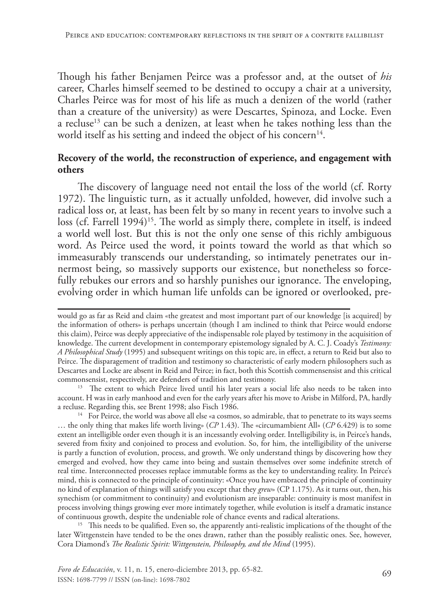Though his father Benjamen Peirce was a professor and, at the outset of *his* career, Charles himself seemed to be destined to occupy a chair at a university, Charles Peirce was for most of his life as much a denizen of the world (rather than a creature of the university) as were Descartes, Spinoza, and Locke. Even a recluse<sup>13</sup> can be such a denizen, at least when he takes nothing less than the world itself as his setting and indeed the object of his concern<sup>14</sup>.

## **Recovery of the world, the reconstruction of experience, and engagement with others**

The discovery of language need not entail the loss of the world (cf. Rorty 1972). The linguistic turn, as it actually unfolded, however, did involve such a radical loss or, at least, has been felt by so many in recent years to involve such a  $loss$  (cf. Farrell 1994)<sup>15</sup>. The world as simply there, complete in itself, is indeed a world well lost. But this is not the only one sense of this richly ambiguous word. As Peirce used the word, it points toward the world as that which so immeasurably transcends our understanding, so intimately penetrates our innermost being, so massively supports our existence, but nonetheless so forcefully rebukes our errors and so harshly punishes our ignorance. The enveloping, evolving order in which human life unfolds can be ignored or overlooked, pre-

<sup>13</sup> The extent to which Peirce lived until his later years a social life also needs to be taken into account. H was in early manhood and even for the early years after his move to Arisbe in Milford, PA, hardly<br>a recluse. Regarding this. see Brent 1998: also Fisch 1986.

 $14$  For Peirce, the world was above all else «a cosmos, so admirable, that to penetrate to its ways seems … the only thing that makes life worth living» (*CP* 1.43). The «circumambient All» (*CP* 6.429) is to some extent an intelligible order even though it is an incessantly evolving order. Intelligibility is, in Peirce's hands, severed from fixity and conjoined to process and evolution. So, for him, the intelligibility of the universe is partly a function of evolution, process, and growth. We only understand things by discovering how they emerged and evolved, how they came into being and sustain themselves over some indefinite stretch of real time. Interconnected processes replace immutable forms as the key to understanding reality. In Peirce's mind, this is connected to the principle of continuity: «Once you have embraced the principle of continuity no kind of explanation of things will satisfy you except that they *grew*» (CP 1.175). As it turns out, then, his synechism (or commitment to continuity) and evolutionism are inseparable: continuity is most manifest in process involving things growing ever more intimately together, while evolution is itself a dramatic instance of continuous growth, despite the undeniable role of chance events and radical alterations.

 $15$  This needs to be qualified. Even so, the apparently anti-realistic implications of the thought of the later Wittgenstein have tended to be the ones drawn, rather than the possibly realistic ones. See, however, Cora Diamond's *The Realistic Spirit: Wittgenstein, Philosophy, and the Mind* (1995).

would go as far as Reid and claim «the greatest and most important part of our knowledge [is acquired] by the information of others» is perhaps uncertain (though I am inclined to think that Peirce would endorse this claim), Peirce was deeply appreciative of the indispensable role played by testimony in the acquisition of knowledge. The current development in contemporary epistemology signaled by A. C. J. Coady's *Testimony: A Philosophical Study* (1995) and subsequent writings on this topic are, in effect, a return to Reid but also to Peirce. The disparagement of tradition and testimony so characteristic of early modern philosophers such as Descartes and Locke are absent in Reid and Peirce; in fact, both this Scottish commensensist and this critical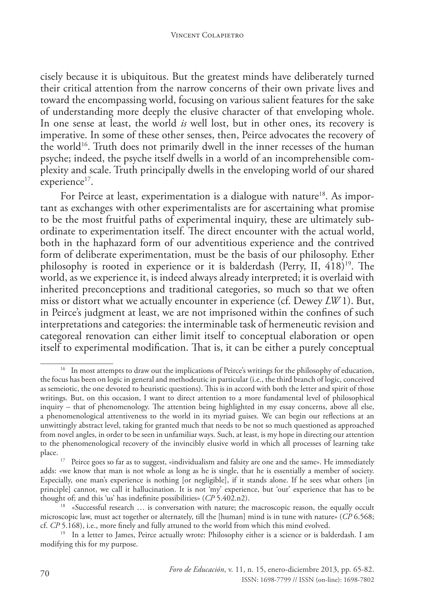cisely because it is ubiquitous. But the greatest minds have deliberately turned their critical attention from the narrow concerns of their own private lives and toward the encompassing world, focusing on various salient features for the sake of understanding more deeply the elusive character of that enveloping whole. In one sense at least, the world *is* well lost, but in other ones, its recovery is imperative. In some of these other senses, then, Peirce advocates the recovery of the world<sup>16</sup>. Truth does not primarily dwell in the inner recesses of the human psyche; indeed, the psyche itself dwells in a world of an incomprehensible complexity and scale. Truth principally dwells in the enveloping world of our shared experience<sup>17</sup>.

For Peirce at least, experimentation is a dialogue with nature<sup>18</sup>. As important as exchanges with other experimentalists are for ascertaining what promise to be the most fruitful paths of experimental inquiry, these are ultimately subordinate to experimentation itself. The direct encounter with the actual world, both in the haphazard form of our adventitious experience and the contrived form of deliberate experimentation, must be the basis of our philosophy. Ether philosophy is rooted in experience or it is balderdash (Perry, II,  $\widehat{418}$ )<sup>19</sup>. The world, as we experience it, is indeed always already interpreted; it is overlaid with inherited preconceptions and traditional categories, so much so that we often miss or distort what we actually encounter in experience (cf. Dewey *LW* 1). But, in Peirce's judgment at least, we are not imprisoned within the confines of such interpretations and categories: the interminable task of hermeneutic revision and categoreal renovation can either limit itself to conceptual elaboration or open itself to experimental modification. That is, it can be either a purely conceptual

<sup>&</sup>lt;sup>16</sup> In most attempts to draw out the implications of Peirce's writings for the philosophy of education, the focus has been on logic in general and methodeutic in particular (i.e., the third branch of logic, conceived as semeiotic, the one devoted to heuristic questions). This is in accord with both the letter and spirit of those writings. But, on this occasion, I want to direct attention to a more fundamental level of philosophical inquiry – that of phenomenology. The attention being highlighted in my essay concerns, above all else, a phenomenological attentiveness to the world in its myriad guises. We can begin our reflections at an unwittingly abstract level, taking for granted much that needs to be not so much questioned as approached from novel angles, in order to be seen in unfamiliar ways. Such, at least, is my hope in directing our attention to the phenomenological recovery of the invincibly elusive world in which all processes of learning take

 $17$  Peirce goes so far as to suggest, «individualism and falsity are one and the same». He immediately adds: «we know that man is not whole as long as he is single, that he is essentially a member of society. Especially, one man's experience is nothing [or negligible], if it stands alone. If he sees what others [in principle] cannot, we call it hallucination. It is not 'my' experience, but 'our' experience that has to be thought of; and this 'us' has indefinite possibilities» (*CP* 5.402.n2).

<sup>&</sup>lt;sup>18</sup> «Successful research ... is conversation with nature; the macroscopic reason, the equally occult microscopic law, must act together or alternately, till the [human] mind is in tune with nature» (*CP* 6.568; cf. *CP* 5.168), i.e., more finely and fully attuned to the world from which this mind evolved.

<sup>&</sup>lt;sup>19</sup> In a letter to James, Peirce actually wrote: Philosophy either is a science or is balderdash. I am modifying this for my purpose.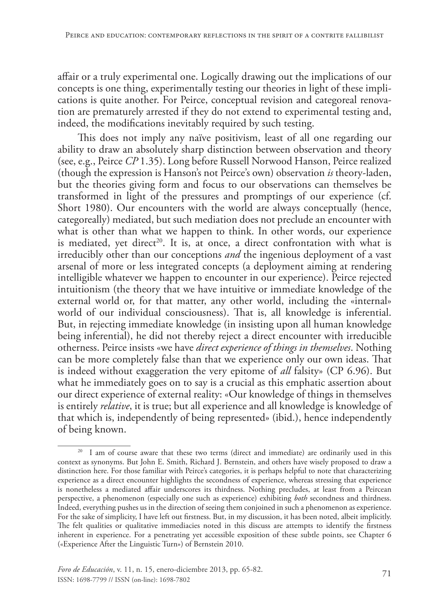affair or a truly experimental one. Logically drawing out the implications of our concepts is one thing, experimentally testing our theories in light of these implications is quite another. For Peirce, conceptual revision and categoreal renovation are prematurely arrested if they do not extend to experimental testing and, indeed, the modifications inevitably required by such testing.

This does not imply any naïve positivism, least of all one regarding our ability to draw an absolutely sharp distinction between observation and theory (see, e.g., Peirce *CP* 1.35). Long before Russell Norwood Hanson, Peirce realized (though the expression is Hanson's not Peirce's own) observation *is* theory-laden, but the theories giving form and focus to our observations can themselves be transformed in light of the pressures and promptings of our experience (cf. Short 1980). Our encounters with the world are always conceptually (hence, categoreally) mediated, but such mediation does not preclude an encounter with what is other than what we happen to think. In other words, our experience is mediated, yet direct<sup>20</sup>. It is, at once, a direct confrontation with what is irreducibly other than our conceptions *and* the ingenious deployment of a vast arsenal of more or less integrated concepts (a deployment aiming at rendering intelligible whatever we happen to encounter in our experience). Peirce rejected intuitionism (the theory that we have intuitive or immediate knowledge of the external world or, for that matter, any other world, including the «internal» world of our individual consciousness). That is, all knowledge is inferential. But, in rejecting immediate knowledge (in insisting upon all human knowledge being inferential), he did not thereby reject a direct encounter with irreducible otherness. Peirce insists «we have *direct experience of things in themselves*. Nothing can be more completely false than that we experience only our own ideas. That is indeed without exaggeration the very epitome of *all* falsity» (CP 6.96). But what he immediately goes on to say is a crucial as this emphatic assertion about our direct experience of external reality: «Our knowledge of things in themselves is entirely *relative*, it is true; but all experience and all knowledge is knowledge of that which is, independently of being represented» (ibid.), hence independently of being known.

<sup>&</sup>lt;sup>20</sup> I am of course aware that these two terms (direct and immediate) are ordinarily used in this context as synonyms. But John E. Smith, Richard J. Bernstein, and others have wisely proposed to draw a distinction here. For those familiar with Peirce's categories, it is perhaps helpful to note that characterizing experience as a direct encounter highlights the secondness of experience, whereas stressing that experience is nonetheless a mediated affair underscores its thirdness. Nothing precludes, at least from a Peircean perspective, a phenomenon (especially one such as experience) exhibiting *both* secondness and thirdness. Indeed, everything pushes us in the direction of seeing them conjoined in such a phenomenon as experience. For the sake of simplicity, I have left out firstness. But, in my discussion, it has been noted, albeit implicitly. The felt qualities or qualitative immediacies noted in this discuss are attempts to identify the firstness inherent in experience. For a penetrating yet accessible exposition of these subtle points, see Chapter 6 («Experience After the Linguistic Turn») of Bernstein 2010.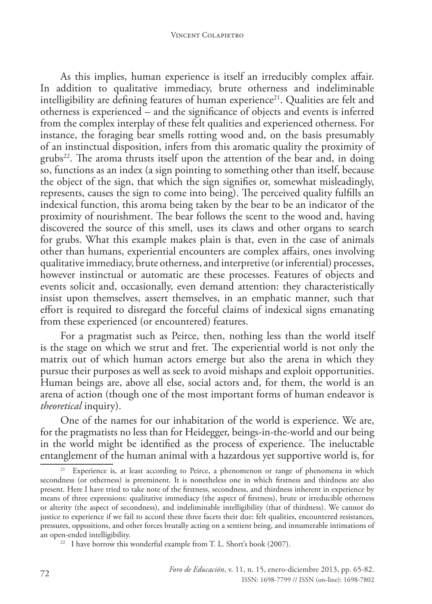As this implies, human experience is itself an irreducibly complex affair. In addition to qualitative immediacy, brute otherness and indeliminable intelligibility are defining features of human experience<sup>21</sup>. Qualities are felt and otherness is experienced – and the significance of objects and events is inferred from the complex interplay of these felt qualities and experienced otherness. For instance, the foraging bear smells rotting wood and, on the basis presumably of an instinctual disposition, infers from this aromatic quality the proximity of grubs<sup>22</sup>. The aroma thrusts itself upon the attention of the bear and, in doing so, functions as an index (a sign pointing to something other than itself, because the object of the sign, that which the sign signifies or, somewhat misleadingly, represents, causes the sign to come into being). The perceived quality fulfills an indexical function, this aroma being taken by the bear to be an indicator of the proximity of nourishment. The bear follows the scent to the wood and, having discovered the source of this smell, uses its claws and other organs to search for grubs. What this example makes plain is that, even in the case of animals other than humans, experiential encounters are complex affairs, ones involving qualitative immediacy, brute otherness, and interpretive (or inferential) processes, however instinctual or automatic are these processes. Features of objects and events solicit and, occasionally, even demand attention: they characteristically insist upon themselves, assert themselves, in an emphatic manner, such that effort is required to disregard the forceful claims of indexical signs emanating from these experienced (or encountered) features.

For a pragmatist such as Peirce, then, nothing less than the world itself is the stage on which we strut and fret. The experiential world is not only the matrix out of which human actors emerge but also the arena in which they pursue their purposes as well as seek to avoid mishaps and exploit opportunities. Human beings are, above all else, social actors and, for them, the world is an arena of action (though one of the most important forms of human endeavor is *theoretical* inquiry).

One of the names for our inhabitation of the world is experience. We are, for the pragmatists no less than for Heidegger, beings-in-the-world and our being in the world might be identified as the process of experience. The ineluctable entanglement of the human animal with a hazardous yet supportive world is, for

<sup>&</sup>lt;sup>21</sup> Experience is, at least according to Peirce, a phenomenon or range of phenomena in which secondness (or otherness) is preeminent. It is nonetheless one in which firstness and thirdness are also present. Here I have tried to take note of the firstness, secondness, and thirdness inherent in experience by means of three expressions: qualitative immediacy (the aspect of firstness), brute or irreducible otherness or alterity (the aspect of secondness), and indeliminable intelligibility (that of thirdness). We cannot do justice to experience if we fail to accord these three facets their due: felt qualities, encountered resistances, pressures, oppositions, and other forces brutally acting on a sentient being, and innumerable intimations of<br>an open-ended intelligibility.

 $22$  I have borrow this wonderful example from T. L. Short's book (2007).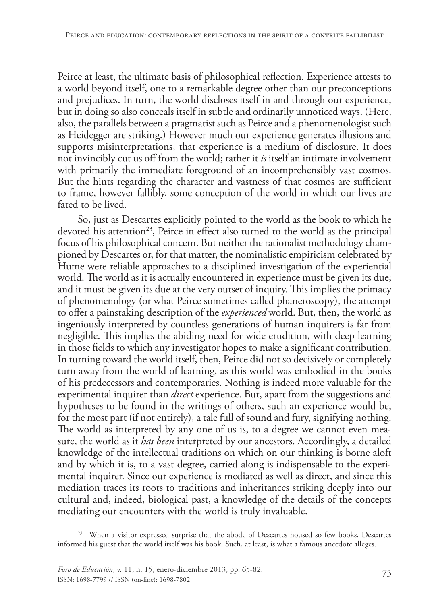Peirce at least, the ultimate basis of philosophical reflection. Experience attests to a world beyond itself, one to a remarkable degree other than our preconceptions and prejudices. In turn, the world discloses itself in and through our experience, but in doing so also conceals itself in subtle and ordinarily unnoticed ways. (Here, also, the parallels between a pragmatist such as Peirce and a phenomenologist such as Heidegger are striking.) However much our experience generates illusions and supports misinterpretations, that experience is a medium of disclosure. It does not invincibly cut us off from the world; rather it *is* itself an intimate involvement with primarily the immediate foreground of an incomprehensibly vast cosmos. But the hints regarding the character and vastness of that cosmos are sufficient to frame, however fallibly, some conception of the world in which our lives are fated to be lived.

So, just as Descartes explicitly pointed to the world as the book to which he devoted his attention<sup>23</sup>, Peirce in effect also turned to the world as the principal focus of his philosophical concern. But neither the rationalist methodology championed by Descartes or, for that matter, the nominalistic empiricism celebrated by Hume were reliable approaches to a disciplined investigation of the experiential world. The world as it is actually encountered in experience must be given its due; and it must be given its due at the very outset of inquiry. This implies the primacy of phenomenology (or what Peirce sometimes called phaneroscopy), the attempt to offer a painstaking description of the *experienced* world. But, then, the world as ingeniously interpreted by countless generations of human inquirers is far from negligible. This implies the abiding need for wide erudition, with deep learning in those fields to which any investigator hopes to make a significant contribution. In turning toward the world itself, then, Peirce did not so decisively or completely turn away from the world of learning, as this world was embodied in the books of his predecessors and contemporaries. Nothing is indeed more valuable for the experimental inquirer than *direct* experience. But, apart from the suggestions and hypotheses to be found in the writings of others, such an experience would be, for the most part (if not entirely), a tale full of sound and fury, signifying nothing. The world as interpreted by any one of us is, to a degree we cannot even measure, the world as it *has been* interpreted by our ancestors. Accordingly, a detailed knowledge of the intellectual traditions on which on our thinking is borne aloft and by which it is, to a vast degree, carried along is indispensable to the experimental inquirer. Since our experience is mediated as well as direct, and since this mediation traces its roots to traditions and inheritances striking deeply into our cultural and, indeed, biological past, a knowledge of the details of the concepts mediating our encounters with the world is truly invaluable.

<sup>&</sup>lt;sup>23</sup> When a visitor expressed surprise that the abode of Descartes housed so few books, Descartes informed his guest that the world itself was his book. Such, at least, is what a famous anecdote alleges.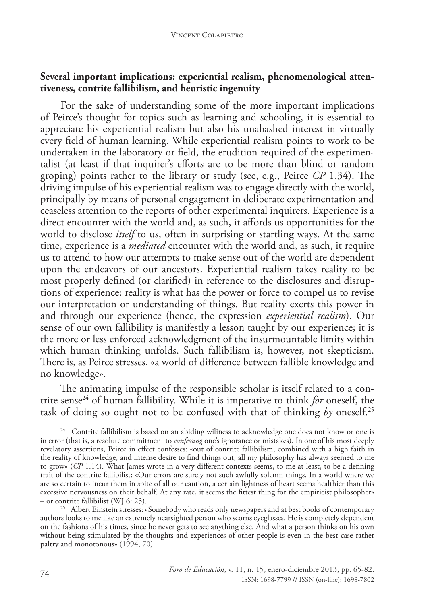### **Several important implications: experiential realism, phenomenological attentiveness, contrite fallibilism, and heuristic ingenuity**

For the sake of understanding some of the more important implications of Peirce's thought for topics such as learning and schooling, it is essential to appreciate his experiential realism but also his unabashed interest in virtually every field of human learning. While experiential realism points to work to be undertaken in the laboratory or field, the erudition required of the experimentalist (at least if that inquirer's efforts are to be more than blind or random groping) points rather to the library or study (see, e.g., Peirce *CP* 1.34). The driving impulse of his experiential realism was to engage directly with the world, principally by means of personal engagement in deliberate experimentation and ceaseless attention to the reports of other experimental inquirers. Experience is a direct encounter with the world and, as such, it affords us opportunities for the world to disclose *itself* to us, often in surprising or startling ways. At the same time, experience is a *mediated* encounter with the world and, as such, it require us to attend to how our attempts to make sense out of the world are dependent upon the endeavors of our ancestors. Experiential realism takes reality to be most properly defined (or clarified) in reference to the disclosures and disruptions of experience: reality is what has the power or force to compel us to revise our interpretation or understanding of things. But reality exerts this power in and through our experience (hence, the expression *experiential realism*). Our sense of our own fallibility is manifestly a lesson taught by our experience; it is the more or less enforced acknowledgment of the insurmountable limits within which human thinking unfolds. Such fallibilism is, however, not skepticism. There is, as Peirce stresses, «a world of difference between fallible knowledge and no knowledge».

The animating impulse of the responsible scholar is itself related to a contrite sense24 of human fallibility. While it is imperative to think *for* oneself, the task of doing so ought not to be confused with that of thinking *by* oneself.25

<sup>&</sup>lt;sup>24</sup> Contrite fallibilism is based on an abiding wiliness to acknowledge one does not know or one is in error (that is, a resolute commitment to *confessing* one's ignorance or mistakes). In one of his most deeply revelatory assertions, Peirce in effect confesses: «out of contrite fallibilism, combined with a high faith in the reality of knowledge, and intense desire to find things out, all my philosophy has always seemed to me to grow» (*CP* 1.14). What James wrote in a very different contexts seems, to me at least, to be a defining trait of the contrite fallibilist: «Our errors are surely not such awfully solemn things. In a world where we are so certain to incur them in spite of all our caution, a certain lightness of heart seems healthier than this excessive nervousness on their behalf. At any rate, it seems the fittest thing for the empiricist philosopher» – or contrite fallibilist (WJ 6: 25).

<sup>&</sup>lt;sup>25</sup> Albert Einstein stresses: «Somebody who reads only newspapers and at best books of contemporary authors looks to me like an extremely nearsighted person who scorns eyeglasses. He is completely dependent on the fashions of his times, since he never gets to see anything else. And what a person thinks on his own without being stimulated by the thoughts and experiences of other people is even in the best case rather paltry and monotonous» (1994, 70).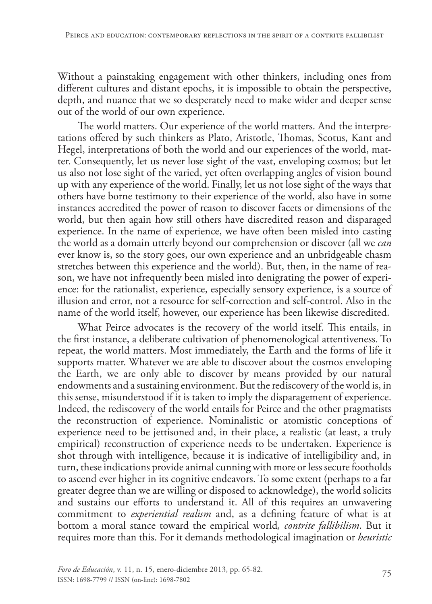Without a painstaking engagement with other thinkers, including ones from different cultures and distant epochs, it is impossible to obtain the perspective, depth, and nuance that we so desperately need to make wider and deeper sense out of the world of our own experience.

The world matters. Our experience of the world matters. And the interpretations offered by such thinkers as Plato, Aristotle, Thomas, Scotus, Kant and Hegel, interpretations of both the world and our experiences of the world, matter. Consequently, let us never lose sight of the vast, enveloping cosmos; but let us also not lose sight of the varied, yet often overlapping angles of vision bound up with any experience of the world. Finally, let us not lose sight of the ways that others have borne testimony to their experience of the world, also have in some instances accredited the power of reason to discover facets or dimensions of the world, but then again how still others have discredited reason and disparaged experience. In the name of experience, we have often been misled into casting the world as a domain utterly beyond our comprehension or discover (all we *can* ever know is, so the story goes, our own experience and an unbridgeable chasm stretches between this experience and the world). But, then, in the name of reason, we have not infrequently been misled into denigrating the power of experience: for the rationalist, experience, especially sensory experience, is a source of illusion and error, not a resource for self-correction and self-control. Also in the name of the world itself, however, our experience has been likewise discredited.

What Peirce advocates is the recovery of the world itself. This entails, in the first instance, a deliberate cultivation of phenomenological attentiveness. To repeat, the world matters. Most immediately, the Earth and the forms of life it supports matter. Whatever we are able to discover about the cosmos enveloping the Earth, we are only able to discover by means provided by our natural endowments and a sustaining environment. But the rediscovery of the world is, in this sense, misunderstood if it is taken to imply the disparagement of experience. Indeed, the rediscovery of the world entails for Peirce and the other pragmatists the reconstruction of experience. Nominalistic or atomistic conceptions of experience need to be jettisoned and, in their place, a realistic (at least, a truly empirical) reconstruction of experience needs to be undertaken. Experience is shot through with intelligence, because it is indicative of intelligibility and, in turn, these indications provide animal cunning with more or less secure footholds to ascend ever higher in its cognitive endeavors. To some extent (perhaps to a far greater degree than we are willing or disposed to acknowledge), the world solicits and sustains our efforts to understand it. All of this requires an unwavering commitment to *experiential realism* and, as a defining feature of what is at bottom a moral stance toward the empirical world*, contrite fallibilism*. But it requires more than this. For it demands methodological imagination or *heuristic*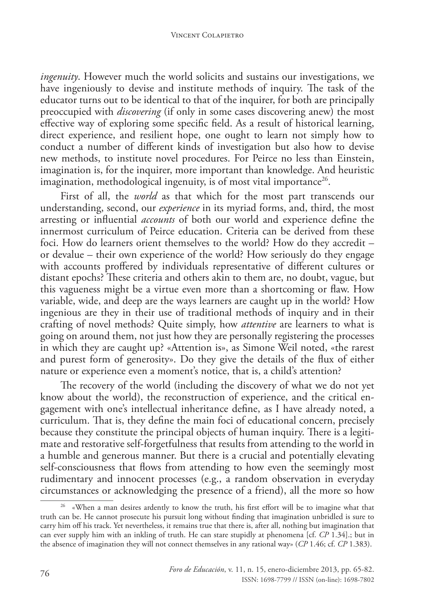*ingenuity*. However much the world solicits and sustains our investigations, we have ingeniously to devise and institute methods of inquiry. The task of the educator turns out to be identical to that of the inquirer, for both are principally preoccupied with *discovering* (if only in some cases discovering anew) the most effective way of exploring some specific field. As a result of historical learning, direct experience, and resilient hope, one ought to learn not simply how to conduct a number of different kinds of investigation but also how to devise new methods, to institute novel procedures. For Peirce no less than Einstein, imagination is, for the inquirer, more important than knowledge. And heuristic imagination, methodological ingenuity, is of most vital importance<sup>26</sup>.

First of all, the *world* as that which for the most part transcends our understanding, second, our *experience* in its myriad forms, and, third, the most arresting or influential *accounts* of both our world and experience define the innermost curriculum of Peirce education. Criteria can be derived from these foci. How do learners orient themselves to the world? How do they accredit – or devalue – their own experience of the world? How seriously do they engage with accounts proffered by individuals representative of different cultures or distant epochs? These criteria and others akin to them are, no doubt, vague, but this vagueness might be a virtue even more than a shortcoming or flaw. How variable, wide, and deep are the ways learners are caught up in the world? How ingenious are they in their use of traditional methods of inquiry and in their crafting of novel methods? Quite simply, how *attentive* are learners to what is going on around them, not just how they are personally registering the processes in which they are caught up? «Attention is», as Simone Weil noted, «the rarest and purest form of generosity». Do they give the details of the flux of either nature or experience even a moment's notice, that is, a child's attention?

The recovery of the world (including the discovery of what we do not yet know about the world), the reconstruction of experience, and the critical engagement with one's intellectual inheritance define, as I have already noted, a curriculum. That is, they define the main foci of educational concern, precisely because they constitute the principal objects of human inquiry. There is a legitimate and restorative self-forgetfulness that results from attending to the world in a humble and generous manner. But there is a crucial and potentially elevating self-consciousness that flows from attending to how even the seemingly most rudimentary and innocent processes (e.g., a random observation in everyday circumstances or acknowledging the presence of a friend), all the more so how

<sup>&</sup>lt;sup>26</sup> «When a man desires ardently to know the truth, his first effort will be to imagine what that truth can be. He cannot prosecute his pursuit long without finding that imagination unbridled is sure to carry him off his track. Yet nevertheless, it remains true that there is, after all, nothing but imagination that can ever supply him with an inkling of truth. He can stare stupidly at phenomena [cf. *CP* 1.34].; but in the absence of imagination they will not connect themselves in any rational way» (*CP* 1.46; cf. *CP* 1.383).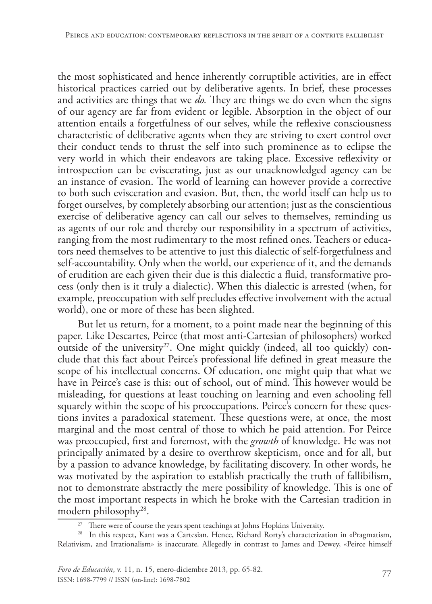the most sophisticated and hence inherently corruptible activities, are in effect historical practices carried out by deliberative agents. In brief, these processes and activities are things that we *do.* They are things we do even when the signs of our agency are far from evident or legible. Absorption in the object of our attention entails a forgetfulness of our selves, while the reflexive consciousness characteristic of deliberative agents when they are striving to exert control over their conduct tends to thrust the self into such prominence as to eclipse the very world in which their endeavors are taking place. Excessive reflexivity or introspection can be eviscerating, just as our unacknowledged agency can be an instance of evasion. The world of learning can however provide a corrective to both such evisceration and evasion. But, then, the world itself can help us to forget ourselves, by completely absorbing our attention; just as the conscientious exercise of deliberative agency can call our selves to themselves, reminding us as agents of our role and thereby our responsibility in a spectrum of activities, ranging from the most rudimentary to the most refined ones. Teachers or educators need themselves to be attentive to just this dialectic of self-forgetfulness and self-accountability. Only when the world, our experience of it, and the demands of erudition are each given their due is this dialectic a fluid, transformative process (only then is it truly a dialectic). When this dialectic is arrested (when, for example, preoccupation with self precludes effective involvement with the actual world), one or more of these has been slighted.

But let us return, for a moment, to a point made near the beginning of this paper. Like Descartes, Peirce (that most anti-Cartesian of philosophers) worked outside of the university<sup>27</sup>. One might quickly (indeed, all too quickly) conclude that this fact about Peirce's professional life defined in great measure the scope of his intellectual concerns. Of education, one might quip that what we have in Peirce's case is this: out of school, out of mind. This however would be misleading, for questions at least touching on learning and even schooling fell squarely within the scope of his preoccupations. Peirce's concern for these questions invites a paradoxical statement. These questions were, at once, the most marginal and the most central of those to which he paid attention. For Peirce was preoccupied, first and foremost, with the *growth* of knowledge. He was not principally animated by a desire to overthrow skepticism, once and for all, but by a passion to advance knowledge, by facilitating discovery. In other words, he was motivated by the aspiration to establish practically the truth of fallibilism, not to demonstrate abstractly the mere possibility of knowledge. This is one of the most important respects in which he broke with the Cartesian tradition in modern philosophy28.

<sup>&</sup>lt;sup>27</sup> There were of course the years spent teachings at Johns Hopkins University.

<sup>28</sup> In this respect, Kant was a Cartesian. Hence, Richard Rorty's characterization in «Pragmatism, Relativism, and Irrationalism» is inaccurate. Allegedly in contrast to James and Dewey, «Peirce himself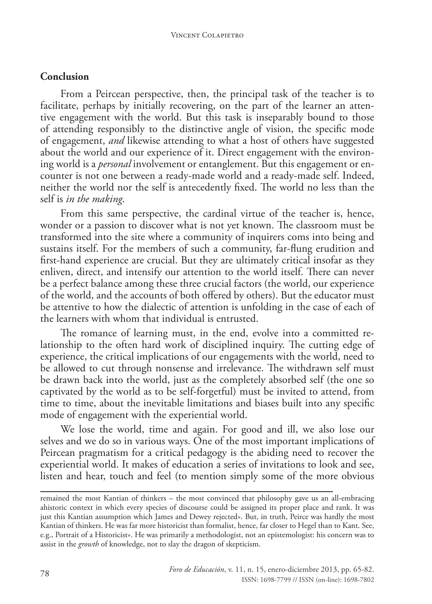## **Conclusion**

From a Peircean perspective, then, the principal task of the teacher is to facilitate, perhaps by initially recovering, on the part of the learner an attentive engagement with the world. But this task is inseparably bound to those of attending responsibly to the distinctive angle of vision, the specific mode of engagement, *and* likewise attending to what a host of others have suggested about the world and our experience of it. Direct engagement with the environing world is a *personal* involvement or entanglement. But this engagement or encounter is not one between a ready-made world and a ready-made self. Indeed, neither the world nor the self is antecedently fixed. The world no less than the self is *in the making*.

From this same perspective, the cardinal virtue of the teacher is, hence, wonder or a passion to discover what is not yet known. The classroom must be transformed into the site where a community of inquirers coms into being and sustains itself. For the members of such a community, far-flung erudition and first-hand experience are crucial. But they are ultimately critical insofar as they enliven, direct, and intensify our attention to the world itself. There can never be a perfect balance among these three crucial factors (the world, our experience of the world, and the accounts of both offered by others). But the educator must be attentive to how the dialectic of attention is unfolding in the case of each of the learners with whom that individual is entrusted.

The romance of learning must, in the end, evolve into a committed relationship to the often hard work of disciplined inquiry. The cutting edge of experience, the critical implications of our engagements with the world, need to be allowed to cut through nonsense and irrelevance. The withdrawn self must be drawn back into the world, just as the completely absorbed self (the one so captivated by the world as to be self-forgetful) must be invited to attend, from time to time, about the inevitable limitations and biases built into any specific mode of engagement with the experiential world.

We lose the world, time and again. For good and ill, we also lose our selves and we do so in various ways. One of the most important implications of Peircean pragmatism for a critical pedagogy is the abiding need to recover the experiential world. It makes of education a series of invitations to look and see, listen and hear, touch and feel (to mention simply some of the more obvious

remained the most Kantian of thinkers – the most convinced that philosophy gave us an all-embracing ahistoric context in which every species of discourse could be assigned its proper place and rank. It was just this Kantian assumption which James and Dewey rejected». But, in truth, Peirce was hardly the most Kantian of thinkers. He was far more historicist than formalist, hence, far closer to Hegel than to Kant. See, e.g., Portrait of a Historicist». He was primarily a methodologist, not an epistemologist: his concern was to assist in the *growth* of knowledge, not to slay the dragon of skepticism.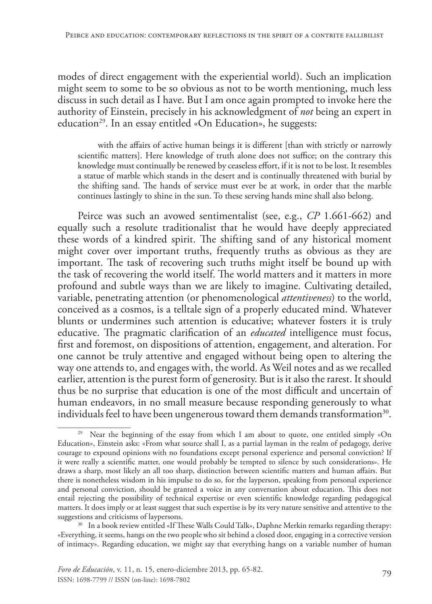modes of direct engagement with the experiential world). Such an implication might seem to some to be so obvious as not to be worth mentioning, much less discuss in such detail as I have. But I am once again prompted to invoke here the authority of Einstein, precisely in his acknowledgment of *not* being an expert in education<sup>29</sup>. In an essay entitled «On Education», he suggests:

with the affairs of active human beings it is different [than with strictly or narrowly scientific matters]. Here knowledge of truth alone does not suffice; on the contrary this knowledge must continually be renewed by ceaseless effort, if it is not to be lost. It resembles a statue of marble which stands in the desert and is continually threatened with burial by the shifting sand. The hands of service must ever be at work, in order that the marble continues lastingly to shine in the sun. To these serving hands mine shall also belong.

Peirce was such an avowed sentimentalist (see, e.g., *CP* 1.661-662) and equally such a resolute traditionalist that he would have deeply appreciated these words of a kindred spirit. The shifting sand of any historical moment might cover over important truths, frequently truths as obvious as they are important. The task of recovering such truths might itself be bound up with the task of recovering the world itself. The world matters and it matters in more profound and subtle ways than we are likely to imagine. Cultivating detailed, variable, penetrating attention (or phenomenological *attentiveness*) to the world, conceived as a cosmos, is a telltale sign of a properly educated mind. Whatever blunts or undermines such attention is educative; whatever fosters it is truly educative. The pragmatic clarification of an *educated* intelligence must focus, first and foremost, on dispositions of attention, engagement, and alteration. For one cannot be truly attentive and engaged without being open to altering the way one attends to, and engages with, the world. As Weil notes and as we recalled earlier, attention is the purest form of generosity. But is it also the rarest. It should thus be no surprise that education is one of the most difficult and uncertain of human endeavors, in no small measure because responding generously to what individuals feel to have been ungenerous toward them demands transformation<sup>30</sup>.

<sup>&</sup>lt;sup>29</sup> Near the beginning of the essay from which I am about to quote, one entitled simply «On Education», Einstein asks: «From what source shall I, as a partial layman in the realm of pedagogy, derive courage to expound opinions with no foundations except personal experience and personal conviction? If it were really a scientific matter, one would probably be tempted to silence by such considerations». He draws a sharp, most likely an all too sharp, distinction between scientific matters and human affairs. But there is nonetheless wisdom in his impulse to do so, for the layperson, speaking from personal experience and personal conviction, should be granted a voice in any conversation about education. This does not entail rejecting the possibility of technical expertise or even scientific knowledge regarding pedagogical matters. It does imply or at least suggest that such expertise is by its very nature sensitive and attentive to the

<sup>&</sup>lt;sup>30</sup> In a book review entitled «If These Walls Could Talk», Daphne Merkin remarks regarding therapy: «Everything, it seems, hangs on the two people who sit behind a closed door, engaging in a corrective version of intimacy». Regarding education, we might say that everything hangs on a variable number of human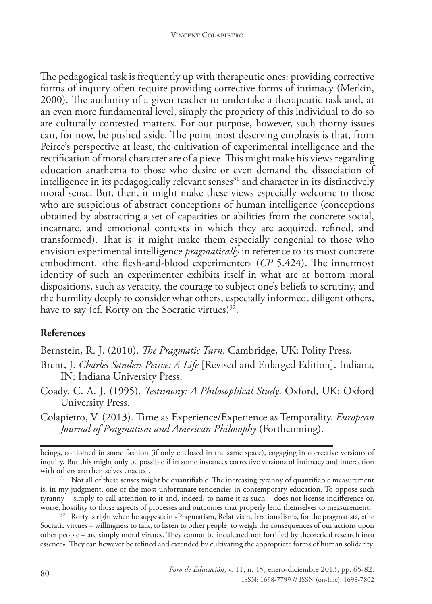The pedagogical task is frequently up with therapeutic ones: providing corrective forms of inquiry often require providing corrective forms of intimacy (Merkin, 2000). The authority of a given teacher to undertake a therapeutic task and, at an even more fundamental level, simply the propriety of this individual to do so are culturally contested matters. For our purpose, however, such thorny issues can, for now, be pushed aside. The point most deserving emphasis is that, from Peirce's perspective at least, the cultivation of experimental intelligence and the rectification of moral character are of a piece. This might make his views regarding education anathema to those who desire or even demand the dissociation of intelligence in its pedagogically relevant senses $31$  and character in its distinctively moral sense. But, then, it might make these views especially welcome to those who are suspicious of abstract conceptions of human intelligence (conceptions obtained by abstracting a set of capacities or abilities from the concrete social, incarnate, and emotional contexts in which they are acquired, refined, and transformed). That is, it might make them especially congenial to those who envision experimental intelligence *pragmatically* in reference to its most concrete embodiment, «the flesh-and-blood experimenter» (*CP* 5.424). The innermost identity of such an experimenter exhibits itself in what are at bottom moral dispositions, such as veracity, the courage to subject one's beliefs to scrutiny, and the humility deeply to consider what others, especially informed, diligent others, have to say (cf. Rorty on the Socratic virtues) $3^2$ .

# **References**

Bernstein, R. J. (2010). *The Pragmatic Turn*. Cambridge, UK: Polity Press.

- Brent, J. *Charles Sanders Peirce: A Life* [Revised and Enlarged Edition]. Indiana, IN: Indiana University Press.
- Coady, C. A. J. (1995). *Testimony: A Philosophical Study*. Oxford, UK: Oxford University Press.
- Colapietro, V. (2013). Time as Experience/Experience as Temporality. *European Journal of Pragmatism and American Philosophy* (Forthcoming).

beings, conjoined in some fashion (if only enclosed in the same space), engaging in corrective versions of inquiry, But this might only be possible if in some instances corrective versions of intimacy and interaction with others are themselves enacted.

<sup>&</sup>lt;sup>31</sup> Not all of these senses might be quantifiable. The increasing tyranny of quantifiable measurement is, in my judgment, one of the most unfortunate tendencies in contemporary education. To oppose such tyranny – simply to call attention to it and, indeed, to name it as such – does not license indifference or, worse, hostility to those aspects of processes and outcomes that properly lend themselves to measurement.

<sup>32</sup> Rorty is right when he suggests in «Pragmatism, Relativism, Irrationalism», for the pragmatists, «the Socratic virtues – willingness to talk, to listen to other people, to weigh the consequences of our actions upon other people – are simply moral virtues. They cannot be inculcated nor fortified by theoretical research into essence». They can however be refined and extended by cultivating the appropriate forms of human solidarity.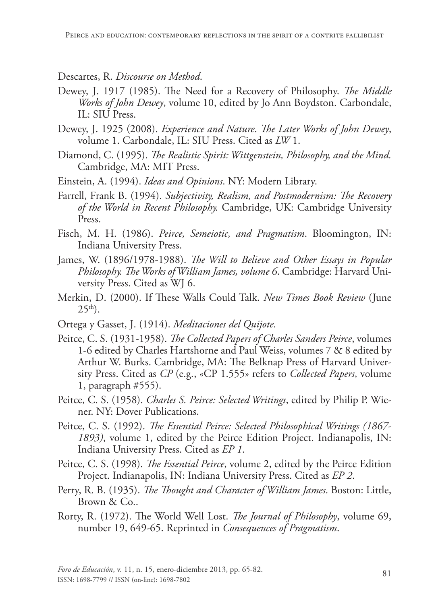### Descartes, R. *Discourse on Method*.

- Dewey, J. 1917 (1985). The Need for a Recovery of Philosophy. *The Middle Works of John Dewey*, volume 10, edited by Jo Ann Boydston. Carbondale, IL: SIU Press.
- Dewey, J. 1925 (2008). *Experience and Nature*. *The Later Works of John Dewey*, volume 1. Carbondale, IL: SIU Press. Cited as *LW* 1.
- Diamond, C. (1995). *The Realistic Spirit: Wittgenstein, Philosophy, and the Mind.* Cambridge, MA: MIT Press.
- Einstein, A. (1994). *Ideas and Opinions*. NY: Modern Library.
- Farrell, Frank B. (1994). *Subjectivity, Realism, and Postmodernism: The Recovery of the World in Recent Philosophy.* Cambridge, UK: Cambridge University Press.
- Fisch, M. H. (1986). *Peirce, Semeiotic, and Pragmatism*. Bloomington, IN: Indiana University Press.
- James, W. (1896/1978-1988). *The Will to Believe and Other Essays in Popular Philosophy. The Works of William James, volume 6*. Cambridge: Harvard University Press. Cited as WJ 6.
- Merkin, D. (2000). If These Walls Could Talk. *New Times Book Review* (June  $25<sup>th</sup>$ .
- Ortega y Gasset, J. (1914). *Meditaciones del Quijote*.
- Peitce, C. S. (1931-1958). *The Collected Papers of Charles Sanders Peirce*, volumes 1-6 edited by Charles Hartshorne and Paul Weiss, volumes 7 & 8 edited by Arthur W. Burks. Cambridge, MA: The Belknap Press of Harvard University Press. Cited as *CP* (e.g., «CP 1.555» refers to *Collected Papers*, volume 1, paragraph #555).
- Peitce, C. S. (1958). *Charles S. Peirce: Selected Writings*, edited by Philip P. Wiener. NY: Dover Publications.
- Peitce, C. S. (1992). *The Essential Peirce: Selected Philosophical Writings (1867- 1893)*, volume 1, edited by the Peirce Edition Project. Indianapolis, IN: Indiana University Press. Cited as *EP 1*.
- Peitce, C. S. (1998). *The Essential Peirce*, volume 2, edited by the Peirce Edition Project. Indianapolis, IN: Indiana University Press. Cited as *EP 2*.
- Perry, R. B. (1935). *The Thought and Character of William James*. Boston: Little, Brown & Co..
- Rorty, R. (1972). The World Well Lost. *The Journal of Philosophy*, volume 69, number 19, 649-65. Reprinted in *Consequences of Pragmatism*.